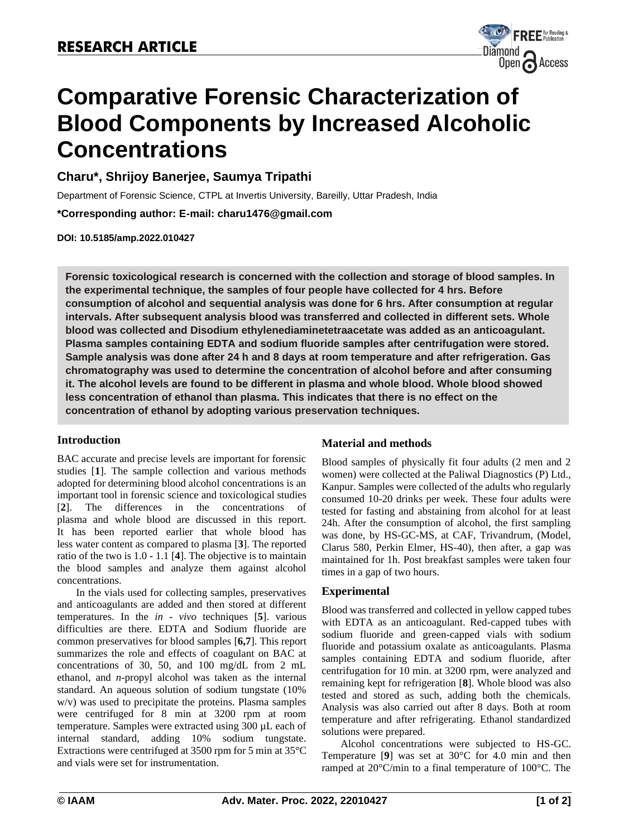

# **Comparative Forensic Characterization of Blood Components by Increased Alcoholic Concentrations**

## **Charu\*, Shrijoy Banerjee, Saumya Tripathi**

Department of Forensic Science, CTPL at Invertis University, Bareilly, Uttar Pradesh, India

**\*Corresponding author: E-mail: [charu1476@gmail.com](mailto:charu1476@gmail.com)**

**DOI: 10.5185/amp.2022.010427**

**Forensic toxicological research is concerned with the collection and storage of blood samples. In the experimental technique, the samples of four people have collected for 4 hrs. Before consumption of alcohol and sequential analysis was done for 6 hrs. After consumption at regular intervals. After subsequent analysis blood was transferred and collected in different sets. Whole blood was collected and Disodium ethylenediaminetetraacetate was added as an anticoagulant. Plasma samples containing EDTA and sodium fluoride samples after centrifugation were stored. Sample analysis was done after 24 h and 8 days at room temperature and after refrigeration. Gas chromatography was used to determine the concentration of alcohol before and after consuming it. The alcohol levels are found to be different in plasma and whole blood. Whole blood showed less concentration of ethanol than plasma. This indicates that there is no effect on the concentration of ethanol by adopting various preservation techniques.**

#### **Introduction**

BAC accurate and precise levels are important for forensic studies [**1**]. The sample collection and various methods adopted for determining blood alcohol concentrations is an important tool in forensic science and toxicological studies [**2**]. The differences in the concentrations of plasma and whole blood are discussed in this report. It has been reported earlier that whole blood has less water content as compared to plasma [**3**]. The reported ratio of the two is 1.0 **-** 1.1 [**4**]. The objective is to maintain the blood samples and analyze them against alcohol concentrations.

In the vials used for collecting samples, preservatives and anticoagulants are added and then stored at different temperatures. In the *in - vivo* techniques [**5**]. various difficulties are there. EDTA and Sodium fluoride are common preservatives for blood samples [**6,7**]. This report summarizes the role and effects of coagulant on BAC at concentrations of 30, 50, and 100 mg/dL from 2 mL ethanol, and *n*-propyl alcohol was taken as the internal standard. An aqueous solution of sodium tungstate (10% w/v) was used to precipitate the proteins. Plasma samples were centrifuged for 8 min at 3200 rpm at room temperature. Samples were extracted using 300 µL each of internal standard, adding 10% sodium tungstate. Extractions were centrifuged at 3500 rpm for 5 min at 35°C and vials were set for instrumentation.

### **Material and methods**

Blood samples of physically fit four adults (2 men and 2 women) were collected at the Paliwal Diagnostics (P) Ltd., Kanpur. Samples were collected of the adults who regularly consumed 10-20 drinks per week. These four adults were tested for fasting and abstaining from alcohol for at least 24h. After the consumption of alcohol, the first sampling was done, by HS-GC-MS, at CAF, Trivandrum, (Model, Clarus 580, Perkin Elmer, HS-40), then after, a gap was maintained for 1h. Post breakfast samples were taken four times in a gap of two hours.

#### **Experimental**

Blood was transferred and collected in yellow capped tubes with EDTA as an anticoagulant. Red-capped tubes with sodium fluoride and green-capped vials with sodium fluoride and potassium oxalate as anticoagulants. Plasma samples containing EDTA and sodium fluoride, after centrifugation for 10 min. at 3200 rpm, were analyzed and remaining kept for refrigeration [**8**]. Whole blood was also tested and stored as such, adding both the chemicals. Analysis was also carried out after 8 days. Both at room temperature and after refrigerating. Ethanol standardized solutions were prepared.

Alcohol concentrations were subjected to HS-GC. Temperature [**9**] was set at 30°C for 4.0 min and then ramped at 20°C/min to a final temperature of 100°C. The